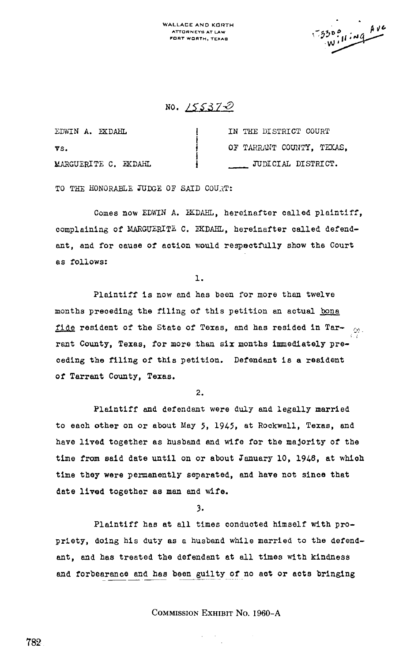WALLACE AND KORTH ATTORNEYS AT LAW FORT WORTH, TEXAa

 $4v$  $-330°$ w

NO. 155370

| EDWIN A. EKDAHL      | IN THE DISTRICT COURT     |
|----------------------|---------------------------|
| VS.                  | OF TARRANT COUNTY. TEXAS. |
| MARGUERITE C. EKDAHL | JUDICIAL DISTRICT.        |

TO THE HONORABLE JUDGE OF SAID COURT:

Comes now EDWIN A. IKDAHL, hereinafter called plaintiff, complaining of MARGUERITE C. EKDAHL, hereinafter called defendant, and for cause of action would respectfully show the Court as follows:

ı.

Plaintiff is now and has been for more than twelve months preceding the filing of this petition an actual bona fide resident of the State of Texas, and has resided in Tar rent County, Texas, for more than six months immediately preceding the filing of this petition. Defendant is a resident of Tarrant County, Texas.

2.

Plaintiff and defendant were duly and legally married to each other on or about May 5, 1945, at Rockwall, Texas, and have lived together as husband and wife for the majority of the time from said date until on or about January 10, 1948, at which time they were permanently separated, and have not since that date lived together as man and wife.

3.

Plaintiff has at all times conducted himself with propriety, doing his duty as a husband while married to the defendant, and has treated the defendant at all times with kindness and forbearance and has been guilty of no act or acts bringing

CommissioN EXHIBIT No. 1960-A

782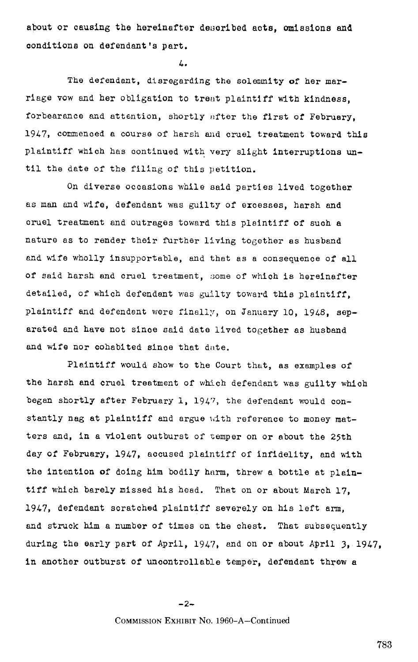about or causing the hereinafter described acts, omissions and conditions on defendant's part.

 $\mathbf{L}$ 

The defendant, disregarding the solemnity of her marriage vow and her obligation to treat plaintiff with kindness, forbearance and attention, shortly after the first of February, 1947, commenced a course of harsh and cruel treatment toward this plaintiff which has continued with very slight interruptions until the date of the filing of this petition.

On diverse occasions while said parties lived together as man and wife, defendant was guilty of excesses, harsh and cruel treatment and outrages toward this plaintiff of such a nature as to render their further living together as husband and wife wholly insupportable, and that as a consequence of all of said harsh and cruel treatment, some of which is hereinafter detailed, of which defendant was guilty toward this plaintiff, plaintiff and defendant were finally, on January 10, 1948, separated and have not since said date lived together as husband and wife nor cohabited since that date.

Plaintiff would show to the Court that, as examples of the harsh and cruel treatment of which defendant was guilty which began shortly after February 1, 1947, the defendant would con stantly nag at plaintiff and argue with reference to money matters and, in a violent outburst of temper on or about the 25th day of February, 1947, accused plaintiff of infidelity, and with the intention of doing him bodily harm, threw a bottle at plaintiff which barely missed his head. That on or about March 17. 1947, defendant scratched plaintiff severely on his left arm, and struck him a number of times on the chest. That subsequently during the early part of April, 1947, and on or about April 3, 1947, in another outburst of uncontrollable temper, defendant threw a

-2-

COMMISSION EXHIBIT No. 1960-A-Continued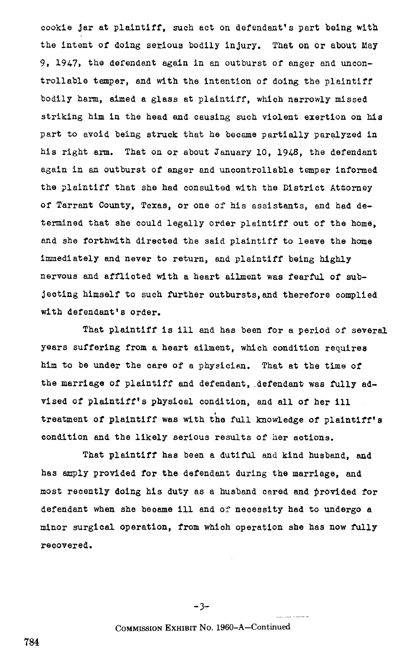cookie jar at plaintiff, such act on defendant's part being with the intent of doing serious bodily injury. That on or about May 9, 1947, the defendant again in an outburst of anger and uncontrollable temper, and with the intention of doing the plaintiff bodily harm, aimed a glass at plaintiff, which narrowly missed striking him in the head and causing such violent exertion on his part to avoid being struck that he became partially paralyzed in his right arm. That on or about January 10, 194S, the defendant again in an outburst of anger and uncontrollable temper informed the plaintiff that she had consulted with the District Attorney of Tarrant County, Texas, or one of his assistants, and had determined that she could legally order plaintiff out of the home, and she forthwith directed the said plaintiff to leave the home immediately and never to return, and plaintiff being highly nervous and afflicted with a heart ailment was fearful of subjeoting himself to such further outbursts,and therefore complied with defendant's order.

That plaintiff is ill and has been for a period of several years suffering from a heart ailment, which condition requires him to be under the care of a physician. That at the time of the marriage of plaintiff and defendant, defendant was fully advised of plaintiff's physioal condition, and all of her ill treatment of plaintiff was with the full knowledge of plaintiff's condition and the likely serious results of her actions .

That plaintiff has been a dutiful and kind husband, and has amply Provided for the defendant during the marriage, and most recently doing his duty as a husband cared and provided for defendant when she became ill and of necessity had to undergo a minor surgical operation, from which operation she has now fully recovered.

 $-3-$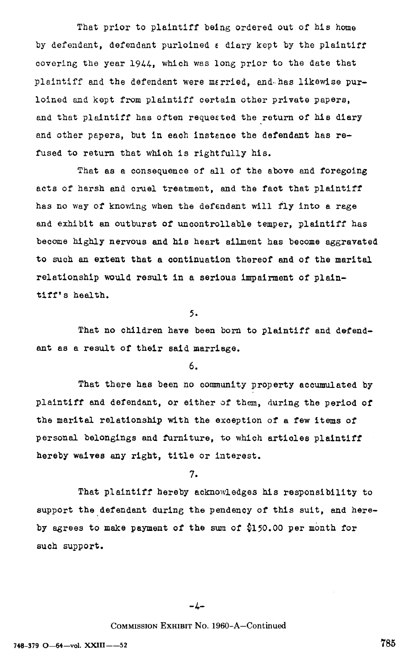That prior to plaintiff being ordered out of his home by defendant, defendant purloined <sup>e</sup> diary kept by the plaintiff covering the year 1944, which was long prior to the date that plaintiff and the defendant were mErried, and.-has likewise purloined and kept from plaintiff certain other private papers, and that plaintiff has often requested the return of his diary and other papers, but in each instence the defendant has refused to return that which is rightfully his.

That as a consequence of all of the above and foregoing acts of harsh and cruel treatment, and the fact that plaintiff has no way of knowing when the defendant will fly into a rage and exhibit an outburst of uncontrollable temper, plaintiff has become highly nervous and his heart ailment has become aggravated to such an extent that a continuation thereof and of the marital relationship would result in a serious impairment of plaintiff's health.

5.

That no children have been born to plaintiff and defendant as a result of their said marriage.

6.

That there has been no community property accumulated by plaintiff end defendant, or either of them, during the period of the marital relationship with the exception of a few items of personal belongings and furniture, to which articles plaintiff hereby waives any right, title or interest.

7.

That plaintiff hereby acknowledges his responsibility to support the defendant during the pendency of this suit, and hereby agrees to make payment of the sum of \$150.00 per month for such support.

 $-4-$ 

## COMMISSION EXHIBIT No. 1960-A-Continued